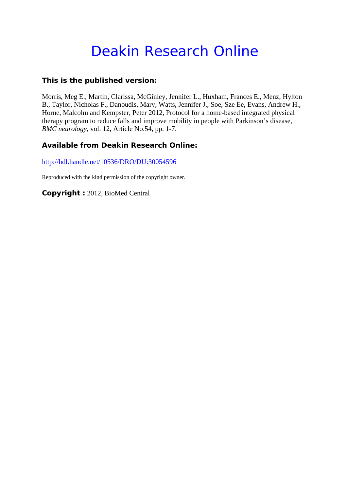# Deakin Research Online

# **This is the published version:**

Morris, Meg E., Martin, Clarissa, McGinley, Jennifer L., Huxham, Frances E., Menz, Hylton B., Taylor, Nicholas F., Danoudis, Mary, Watts, Jennifer J., Soe, Sze Ee, Evans, Andrew H., Horne, Malcolm and Kempster, Peter 2012, Protocol for a home-based integrated physical therapy program to reduce falls and improve mobility in people with Parkinson's disease*, BMC neurology*, vol. 12, Article No.54, pp. 1-7.

# **Available from Deakin Research Online:**

http://hdl.handle.net/10536/DRO/DU:30054596

Reproduced with the kind permission of the copyright owner.

**Copyright :** 2012, BioMed Central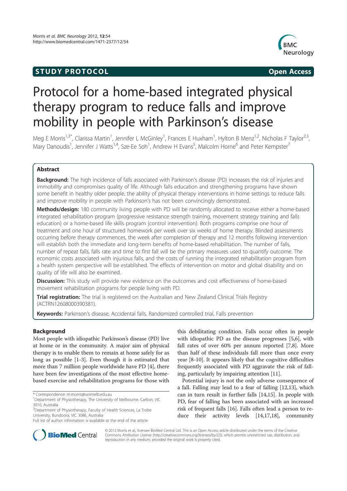# **STUDY PROTOCOL** And the set of the set of the set of the set of the set of the set of the set of the set of the set of the set of the set of the set of the set of the set of the set of the set of the set of the set of the



# Protocol for a home-based integrated physical therapy program to reduce falls and improve mobility in people with Parkinson's disease

Meg E Morris<sup>1,3\*</sup>, Clarissa Martin<sup>1</sup>, Jennifer L McGinley<sup>1</sup>, Frances E Huxham<sup>1</sup>, Hylton B Menz<sup>1,2</sup>, Nicholas F Taylor<sup>2,3</sup>, Mary Danoudis<sup>1</sup>, Jennifer J Watts<sup>1,4</sup>, Sze-Ee Soh<sup>1</sup>, Andrew H Evans<sup>5</sup>, Malcolm Horne<sup>6</sup> and Peter Kempster<sup>7</sup>

# Abstract

**Background:** The high incidence of falls associated with Parkinson's disease (PD) increases the risk of injuries and immobility and compromises quality of life. Although falls education and strengthening programs have shown some benefit in healthy older people, the ability of physical therapy interventions in home settings to reduce falls and improve mobility in people with Parkinson's has not been convincingly demonstrated.

Methods/design: 180 community living people with PD will be randomly allocated to receive either a home-based integrated rehabilitation program (progressive resistance strength training, movement strategy training and falls education) or a home-based life skills program (control intervention). Both programs comprise one hour of treatment and one hour of structured homework per week over six weeks of home therapy. Blinded assessments occurring before therapy commences, the week after completion of therapy and 12 months following intervention will establish both the immediate and long-term benefits of home-based rehabilitation. The number of falls, number of repeat falls, falls rate and time to first fall will be the primary measures used to quantify outcome. The economic costs associated with injurious falls, and the costs of running the integrated rehabilitation program from a health system perspective will be established. The effects of intervention on motor and global disability and on quality of life will also be examined.

Discussion: This study will provide new evidence on the outcomes and cost effectiveness of home-based movement rehabilitation programs for people living with PD.

**Trial registration:** The trial is registered on the Australian and New Zealand Clinical Trials Registry (ACTRN12608000390381).

Keywords: Parkinson's disease, Accidental falls, Randomized controlled trial, Falls prevention

# Background

Most people with idiopathic Parkinson's disease (PD) live at home or in the community. A major aim of physical therapy is to enable them to remain at home safely for as long as possible [1-3]. Even though it is estimated that more than 7 million people worldwide have PD [4], there have been few investigations of the most effective homebased exercise and rehabilitation programs for those with

\* Correspondence: m.morris@unimelb.edu.au

this debilitating condition. Falls occur often in people with idiopathic PD as the disease progresses [5,6], with fall rates of over 60% per annum reported [7,8]. More than half of these individuals fall more than once every year [8-10]. It appears likely that the cognitive difficulties frequently associated with PD aggravate the risk of falling, particularly by impairing attention [11].

Potential injury is not the only adverse consequence of a fall. Falling may lead to a fear of falling [12,13], which can in turn result in further falls [14,15]. In people with PD, fear of falling has been associated with an increased risk of frequent falls [16]. Falls often lead a person to reduce their activity levels [14,17,18], community



© 2012 Morris et al.; licensee BioMed Central Ltd. This is an Open Access article distributed under the terms of the Creative Commons Attribution License (http://creativecommons.org/licenses/by/2.0), which permits unrestricted use, distribution, and reproduction in any medium, provided the original work is properly cited.

<sup>&</sup>lt;sup>1</sup>Department of Physiotherapy, The University of Melbourne, Carlton, VIC 3010, Australia

<sup>&</sup>lt;sup>3</sup>Department of Physiotherapy, Faculty of Health Sciences, La Trobe University, Bundoora, VIC 3086, Australia

Full list of author information is available at the end of the article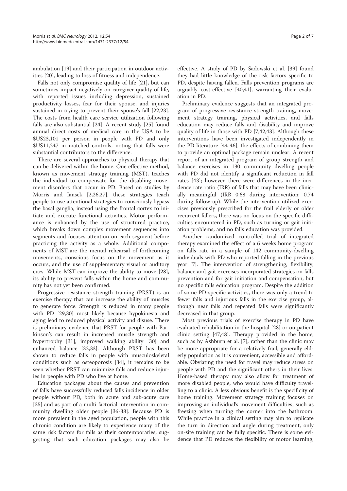ambulation [19] and their participation in outdoor activities [20], leading to loss of fitness and independence.

Falls not only compromise quality of life [21], but can sometimes impact negatively on caregiver quality of life, with reported issues including depression, sustained productivity losses, fear for their spouse, and injuries sustained in trying to prevent their spouse's fall [22,23]. The costs from health care service utilization following falls are also substantial [24]. A recent study [25] found annual direct costs of medical care in the USA to be \$US23,101 per person in people with PD and only \$US11,247 in matched controls, noting that falls were substantial contributors to the difference.

There are several approaches to physical therapy that can be delivered within the home. One effective method, known as movement strategy training (MST), teaches the individual to compensate for the disabling movement disorders that occur in PD. Based on studies by Morris and Iansek [2,26,27], these strategies teach people to use attentional strategies to consciously bypass the basal ganglia, instead using the frontal cortex to initiate and execute functional activities. Motor performance is enhanced by the use of structured practice, which breaks down complex movement sequences into segments and focuses attention on each segment before practicing the activity as a whole. Additional components of MST are the mental rehearsal of forthcoming movements, conscious focus on the movement as it occurs, and the use of supplementary visual or auditory cues. While MST can improve the ability to move [28], its ability to prevent falls within the home and community has not yet been confirmed.

Progressive resistance strength training (PRST) is an exercise therapy that can increase the ability of muscles to generate force. Strength is reduced in many people with PD [29,30] most likely because hypokinesia and aging lead to reduced physical activity and disuse. There is preliminary evidence that PRST for people with Parkinson's can result in increased muscle strength and hypertrophy [31], improved walking ability [30] and enhanced balance [32,33]. Although PRST has been shown to reduce falls in people with musculoskeletal conditions such as osteoporosis [34], it remains to be seen whether PRST can minimize falls and reduce injuries in people with PD who live at home.

Education packages about the causes and prevention of falls have successfully reduced falls incidence in older people without PD, both in acute and sub-acute care [35] and as part of a multi factorial intervention in community dwelling older people [36-38]. Because PD is more prevalent in the aged population, people with this chronic condition are likely to experience many of the same risk factors for falls as their contemporaries, suggesting that such education packages may also be effective. A study of PD by Sadowski et al. [39] found they had little knowledge of the risk factors specific to PD, despite having fallen. Falls prevention programs are arguably cost-effective [40,41], warranting their evaluation in PD.

Preliminary evidence suggests that an integrated program of progressive resistance strength training, movement strategy training, physical activities, and falls education may reduce falls and disability and improve quality of life in those with PD [7,42,43]. Although these interventions have been investigated independently in the PD literature [44-46], the effects of combining them to provide an optimal package remain unclear. A recent report of an integrated program of group strength and balance exercises in 130 community dwelling people with PD did not identify a significant reduction in fall rates [43]; however, there were differences in the incidence rate ratio (IRR) of falls that may have been clinically meaningful (IRR 0.68 during intervention; 0.74 during follow-up). While the intervention utilized exercises previously prescribed for the frail elderly or older recurrent fallers, there was no focus on the specific difficulties encountered in PD, such as turning or gait initiation problems, and no falls education was provided.

Another randomized controlled trial of integrated therapy examined the effect of a 6 weeks home program on falls rate in a sample of 142 community-dwelling individuals with PD who reported falling in the previous year [7]. The intervention of strengthening, flexibility, balance and gait exercises incorporated strategies on falls prevention and for gait initiation and compensation, but no specific falls education program. Despite the addition of some PD-specific activities, there was only a trend to fewer falls and injurious falls in the exercise group, although near falls and repeated falls were significantly decreased in that group.

Most previous trials of exercise therapy in PD have evaluated rehabilitation in the hospital [28] or outpatient clinic setting [47,48]. Therapy provided in the home, such as by Ashburn et al. [7], rather than the clinic may be more appropriate for a relatively frail, generally elderly population as it is convenient, accessible and affordable. Obviating the need for travel may reduce stress on people with PD and the significant others in their lives. Home-based therapy may also allow for treatment of more disabled people, who would have difficulty travelling to a clinic. A less obvious benefit is the specificity of home training. Movement strategy training focuses on improving an individual's movement difficulties, such as freezing when turning the corner into the bathroom. While practice in a clinical setting may aim to replicate the turn in direction and angle during treatment, only on-site training can be fully specific. There is some evidence that PD reduces the flexibility of motor learning,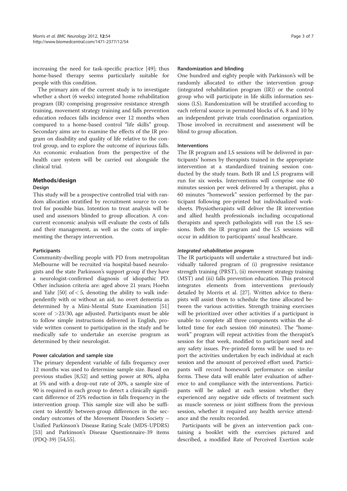increasing the need for task-specific practice [49]; thus home-based therapy seems particularly suitable for people with this condition.

The primary aim of the current study is to investigate whether a short (6 weeks) integrated home rehabilitation program (IR) comprising progressive resistance strength training, movement strategy training and falls prevention education reduces falls incidence over 12 months when compared to a home-based control "life skills" group. Secondary aims are to examine the effects of the IR program on disability and quality of life relative to the control group, and to explore the outcome of injurious falls. An economic evaluation from the perspective of the health care system will be carried out alongside the clinical trial.

# Methods/design

# Design

This study will be a prospective controlled trial with random allocation stratified by recruitment source to control for possible bias. Intention to treat analysis will be used and assessors blinded to group allocation. A concurrent economic analysis will evaluate the costs of falls and their management, as well as the costs of implementing the therapy intervention.

# Participants

Community-dwelling people with PD from metropolitan Melbourne will be recruited via hospital-based neurologists and the state Parkinson's support group if they have a neurologist-confirmed diagnosis of idiopathic PD. Other inclusion criteria are: aged above 21 years; Hoehn and Yahr [50] of  $<$  5, denoting the ability to walk independently with or without an aid; no overt dementia as determined by a Mini-Mental State Examination [51] score of >23/30, age adjusted. Participants must be able to follow simple instructions delivered in English, provide written consent to participation in the study and be medically safe to undertake an exercise program as determined by their neurologist.

# Power calculation and sample size

The primary dependent variable of falls frequency over 12 months was used to determine sample size. Based on previous studies [8,52] and setting power at 80%, alpha at 5% and with a drop-out rate of 20%, a sample size of 90 is required in each group to detect a clinically significant difference of 25% reduction in falls frequency in the intervention group. This sample size will also be sufficient to identify between-group differences in the secondary outcomes of the Movement Disorders Society – Unified Parkinson's Disease Rating Scale (MDS-UPDRS) [53] and Parkinson's Disease Questionnaire-39 items (PDQ-39) [54,55].

## Randomization and blinding

One hundred and eighty people with Parkinson's will be randomly allocated to either the intervention group (integrated rehabilitation program (IR)) or the control group who will participate in life skills information sessions (LS). Randomization will be stratified according to each referral source in permuted blocks of 6, 8 and 10 by an independent private trials coordination organization. Those involved in recruitment and assessment will be blind to group allocation.

## Interventions

The IR program and LS sessions will be delivered in participants' homes by therapists trained in the appropriate intervention at a standardized training session conducted by the study team. Both IR and LS programs will run for six weeks. Interventions will comprise one 60 minutes session per week delivered by a therapist, plus a 60 minutes "homework" session performed by the participant following pre-printed but individualized worksheets. Physiotherapists will deliver the IR intervention and allied health professionals including occupational therapists and speech pathologists will run the LS sessions. Both the IR program and the LS sessions will occur in addition to participants' usual healthcare.

#### Integrated rehabilitation program

The IR participants will undertake a structured but individually tailored program of (i) progressive resistance strength training (PRST), (ii) movement strategy training (MST) and (iii) falls prevention education. This protocol integrates elements from interventions previously detailed by Morris et al. [27]. Written advice to therapists will assist them to schedule the time allocated between the various activities. Strength training exercises will be prioritized over other activities if a participant is unable to complete all three components within the allotted time for each session (60 minutes). The "homework" program will repeat activities from the therapist's session for that week, modified to participant need and any safety issues. Pre-printed forms will be used to report the activities undertaken by each individual at each session and the amount of perceived effort used. Participants will record homework performance on similar forms. These data will enable later evaluation of adherence to and compliance with the interventions. Participants will be asked at each session whether they experienced any negative side effects of treatment such as muscle soreness or joint stiffness from the previous session, whether it required any health service attendance and the results recorded.

Participants will be given an intervention pack containing a booklet with the exercises pictured and described, a modified Rate of Perceived Exertion scale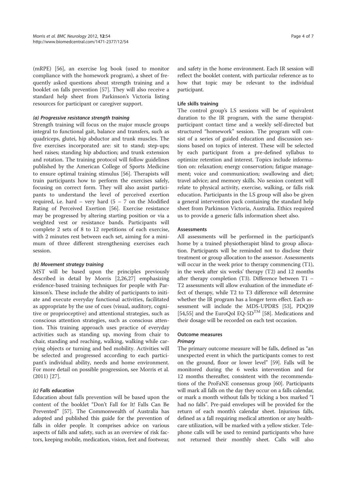(mRPE) [56], an exercise log book (used to monitor compliance with the homework program), a sheet of frequently asked questions about strength training and a booklet on falls prevention [57]. They will also receive a standard help sheet from Parkinson's Victoria listing resources for participant or caregiver support.

## (a) Progressive resistance strength training

Strength training will focus on the major muscle groups integral to functional gait, balance and transfers, such as quadriceps, glutei, hip abductor and trunk muscles. The five exercises incorporated are: sit to stand; step-ups; heel raises; standing hip abduction; and trunk extension and rotation. The training protocol will follow guidelines published by the American College of Sports Medicine to ensure optimal training stimulus [56]. Therapists will train participants how to perform the exercises safely, focusing on correct form. They will also assist participants to understand the level of perceived exertion required, i.e. hard – very hard  $(5 - 7)$  on the Modified Rating of Perceived Exertion [56]. Exercise resistance may be progressed by altering starting position or via a weighted vest or resistance bands. Participants will complete 2 sets of 8 to 12 repetitions of each exercise, with 2 minutes rest between each set, aiming for a minimum of three different strengthening exercises each session.

# (b) Movement strategy training

MST will be based upon the principles previously described in detail by Morris [2,26,27] emphasizing evidence-based training techniques for people with Parkinson's. These include the ability of participants to initiate and execute everyday functional activities, facilitated as appropriate by the use of cues (visual, auditory, cognitive or proprioceptive) and attentional strategies, such as conscious attention strategies, such as conscious attention. This training approach uses practice of everyday activities such as standing up, moving from chair to chair, standing and reaching, walking, walking while carrying objects or turning and bed mobility. Activities will be selected and progressed according to each participant's individual ability, needs and home environment. For more detail on possible progression, see Morris et al. (2011) [27].

#### (c) Falls education

Education about falls prevention will be based upon the content of the booklet "Don't Fall for It! Falls Can Be Prevented" [57]. The Commonwealth of Australia has adopted and published this guide for the prevention of falls in older people. It comprises advice on various aspects of falls and safety, such as an overview of risk factors, keeping mobile, medication, vision, feet and footwear, and safety in the home environment. Each IR session will reflect the booklet content, with particular reference as to how that topic may be relevant to the individual participant.

#### Life skills training

The control group's LS sessions will be of equivalent duration to the IR program, with the same therapistparticipant contact time and a weekly self-directed but structured "homework" session. The program will consist of a series of guided education and discussion sessions based on topics of interest. These will be selected by each participant from a pre-defined syllabus to optimize retention and interest. Topics include information on: relaxation; energy conservation; fatigue management; voice and communication; swallowing and diet; travel advice; and memory skills. No session content will relate to physical activity, exercise, walking, or falls risk education. Participants in the LS group will also be given a general intervention pack containing the standard help sheet from Parkinson Victoria, Australia. Ethics required us to provide a generic falls information sheet also.

#### **Assessments**

All assessments will be performed in the participant's home by a trained physiotherapist blind to group allocation. Participants will be reminded not to disclose their treatment or group allocation to the assessor. Assessments will occur in the week prior to therapy commencing (T1), in the week after six weeks' therapy (T2) and 12 months after therapy completion (T3). Difference between T1 – T2 assessments will allow evaluation of the immediate effect of therapy, while T2 to T3 difference will determine whether the IR program has a longer term effect. Each assessment will include the MDS-UPDRS [53], PDQ39 [54,55] and the EuroQol EQ-5D<sup>TM</sup> [58]. Medications and their dosage will be recorded on each test occasion.

# Outcome measures

# Primary

The primary outcome measure will be falls, defined as "an unexpected event in which the participants comes to rest on the ground, floor or lower level" [59]. Falls will be monitored during the 6 weeks intervention and for 12 months thereafter, consistent with the recommendations of the ProFaNE consensus group [60]. Participants will mark all falls on the day they occur on a falls calendar, or mark a month without falls by ticking a box marked "I had no falls". Pre-paid envelopes will be provided for the return of each month's calendar sheet. Injurious falls, defined as a fall requiring medical attention or any healthcare utilization, will be marked with a yellow sticker. Telephone calls will be used to remind participants who have not returned their monthly sheet. Calls will also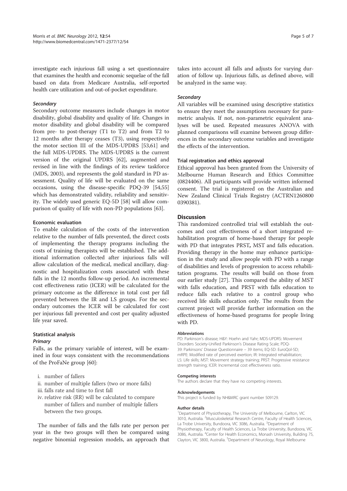investigate each injurious fall using a set questionnaire that examines the health and economic sequelae of the fall based on data from Medicare Australia, self-reported health care utilization and out-of-pocket expenditure.

## **Secondary**

Secondary outcome measures include changes in motor disability, global disability and quality of life. Changes in motor disability and global disability will be compared from pre- to post-therapy (T1 to T2) and from T2 to 12 months after therapy ceases (T3), using respectively the motor section III of the MDS-UPDRS [53,61] and the full MDS-UPDRS. The MDS-UPDRS is the current version of the original UPDRS [62], augmented and revised in line with the findings of its review taskforce (MDS, 2003), and represents the gold standard in PD assessment. Quality of life will be evaluated on the same occasions, using the disease-specific PDQ-39 [54,55] which has demonstrated validity, reliability and sensitivity. The widely used generic EQ-5D [58] will allow comparison of quality of life with non-PD populations [63].

#### Economic evaluation

To enable calculation of the costs of the intervention relative to the number of falls prevented, the direct costs of implementing the therapy programs including the costs of training therapists will be established. The additional information collected after injurious falls will allow calculation of the medical, medical ancillary, diagnostic and hospitalization costs associated with these falls in the 12 months follow-up period. An incremental cost effectiveness ratio (ICER) will be calculated for the primary outcome as the difference in total cost per fall prevented between the IR and LS groups. For the secondary outcomes the ICER will be calculated for cost per injurious fall prevented and cost per quality adjusted life year saved.

# Statistical analysis

# Primary

Falls, as the primary variable of interest, will be examined in four ways consistent with the recommendations of the ProFaNe group [60]:

- i. number of fallers
- ii. number of multiple fallers (two or more falls)
- iii. falls rate and time to first fall
- iv. relative risk (RR) will be calculated to compare number of fallers and number of multiple fallers between the two groups.

The number of falls and the falls rate per person per year in the two groups will then be compared using negative binomial regression models, an approach that takes into account all falls and adjusts for varying duration of follow up. Injurious falls, as defined above, will be analyzed in the same way.

#### **Secondary**

All variables will be examined using descriptive statistics to ensure they meet the assumptions necessary for parametric analysis. If not, non-parametric equivalent analyses will be used. Repeated measures ANOVA with planned comparisons will examine between group differences in the secondary outcome variables and investigate the effects of the intervention.

#### Trial registration and ethics approval

Ethical approval has been granted from the University of Melbourne Human Research and Ethics Committee (0824406). All participants will provide written informed consent. The trial is registered on the Australian and New Zealand Clinical Trials Registry (ACTRN1260800 0390381).

## **Discussion**

This randomized controlled trial will establish the outcomes and cost effectiveness of a short integrated rehabilitation program of home-based therapy for people with PD that integrates PRST, MST and falls education. Providing therapy in the home may enhance participation in the study and allow people with PD with a range of disabilities and levels of progression to access rehabilitation programs. The results will build on those from our earlier study [27]. This compared the ability of MST with falls education, and PRST with falls education to reduce falls each relative to a control group who received life skills education only. The results from the current project will provide further information on the effectiveness of home-based programs for people living with PD.

#### Abbreviations

PD: Parkinson's disease; H&Y: Hoehn and Yahr; MDS-UPDRS: Movement Disorders Society-Unified Parkinson's Disease Rating Scale; PDQ-39: Parkinsons' Disease Questionnaire – 39 items; EQ-5D: EuroQol-5D; mRPE: Modified rate of perceived exertion; IR: Integrated rehabilitation; LS: Life skills; MST: Movement strategy training; PRST: Progressive resistance strength training; ICER: Incremental cost effectiveness ratio.

#### Competing interests

The authors declare that they have no competing interests.

#### Acknowledgements

This project is funded by NH&MRC grant number 509129.

#### Author details

<sup>1</sup>Department of Physiotherapy, The University of Melbourne, Carlton, VIC 3010, Australia. <sup>2</sup> Musculoskeletal Research Centre, Faculty of Health Sciences, La Trobe University, Bundoora, VIC 3086, Australia. <sup>3</sup>Department of Physiotherapy, Faculty of Health Sciences, La Trobe University, Bundoora, VIC 3086, Australia. <sup>4</sup> Center for Health Economics, Monash University, Building 75, Clayton, VIC 3800, Australia. <sup>5</sup>Department of Neurology, Royal Melbourne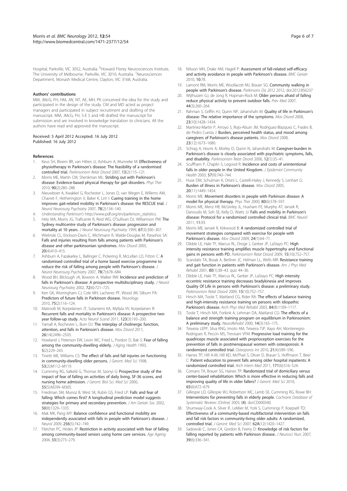Hospital, Parkville, VIC 3052, Australia. <sup>6</sup>Howard Florey Neurosciences Institute, The University of Melbourne, Parkville, VIC 3010, Australia. <sup>7</sup>Neurosciences Department, Monash Medical Centre, Clayton, VIC 3168, Australia.

#### Authors' contributions

MM, JMcG, FH, HM, JW, NT, AE, MH, PK conceived the idea for the study and participated in the design of the study. CM and MD acted as project managers and participated in subject recruitment and drafting of the manuscript. MM, JMcG, FH, S-E S and HB drafted the manuscript for submission and are involved in knowledge translation to clinicians. All the authors have read and approved the manuscript.

#### Received: 5 April 2012 Accepted: 16 July 2012 Published: 16 July 2012

#### References

- Keus SH, Bloem BR, van Hilten JJ, Ashburn A, Munneke M: Effectiveness of physiotherapy in Parkinson's disease: The feasibility of a randomised controlled trial. Parkinsonism Relat Disord 2007, 13(2):115–121.
- 2. Morris ME, Martin CM, Shenkman ML: Striding out with Parkinson's disease: Evidence-based physical therapy for gait disorders. Phys Ther 2010, 90(2):280–288.
- 3. Nieuwboer A, Kwakkel G, Rochester L, Jones D, van Wegen E, Willems AM, Chavret F, Hetherington V, Baker K, Lim I: Cueing training in the home improves gait-related mobility in Parkinson's disease: the RESCUE trial. J Neurol Neurosurg Psychiatry 2007, 78(2):134–140.
- 4. Understanding Parkinson's http://www.pdf.org/en/parkinson\_statistics.
- 5. Hely MA, Morris JG, Traficante R, Reid WG, O'Sullivan DJ, Williamson PM: The Sydney multicentre study of Parkinson's disease: progression and mortality at 10 years. J Neurol Neurosurg Psychiatry 1999, 67(3):300-307.
- 6. Wielinski CL, Erickson-Davis C, Wichmann R, Walde-Douglas M, Parashos SA: Falls and injuries resulting from falls among patients with Parkinson's disease and other parkinsonian syndromes. Mov Disord 2005, 20(4):410–415.
- 7. Ashburn A, Fazakarley L, Ballinger C, Pickering R, McLellan LD, Fitton C: A randomised controlled trial of a home based exercise programme to reduce the risk of falling among people with Parkinson's disease. J Neurol Neurosurg Psychiatry 2007, 78(7):678–684.
- 8. Wood BH, Bilclough JA, Bowron A, Walker RW: Incidence and prediction of falls in Parkinson's disease: A prospective multidisciplinary study. J Neurol Neurosurg Psychiatry 2002, 72(6):721–725.
- 9. Kerr GK, Worringham CJ, Cole MH, Lacherez PF, Wood JM, Silburn PA: Predictors of future falls in Parkinson disease. Neurology 2010, 75(2):116–124.
- 10. Matinolli M, Korpelainen JT, Sotaniemi KA, Myllyla VV, Korpelainen R: Recurrent falls and mortality in Parkinson's disease: A prospective twoyear follow-up study. Acta Neurol Scand 2011, 123(3):193–200.
- 11. Yarnall A, Rochester L, Burn DJ: The interplay of cholinergic function, attention, and falls in Parkinson's disease. Mov Disord 2011, 26(14):2496–2503.
- 12. Howland J, Peterson EW, Levin WC, Fried L, Pordon D, Bak S: Fear of falling among the community-dwelling elderly. J Aging Health 1993,  $5(2):229-243$
- 13. Tinetti ME, Williams CS: The effect of falls and fall injuries on functioning in community-dwelling older persons. J Geront: Med Sci 1998, 53(2):M112–M119.
- 14. Cumming RG, Salkeld G, Thomas M, Szonyi G: Prospective study of the impact of fear of falling on activities of daily living, SF-36 scores, and nursing home admission. J Geront: Biol Sci. Med Sci 2000, 55(5):M299–M305.
- 15. Friedman SM, Munoz B, West SK, Rubin GS, Fried LP: Falls and fear of falling: Which comes first? A longitudinal prediction model suggests strategies for primary and secondary prevention. J Am Geriatr Soc 2002, 50(8):1329–1335.
- 16. Mak MK, Pang MY: Balance confidence and functional mobility are independently associated with falls in people with Parkinson's disease. J Neurol 2009, 256(5):742–749.
- 17. Fletcher PC, Hirdes JP: Restriction in activity associated with fear of falling among community-based seniors using home care services. Age Ageing 2004, 33(3):273–279.
- 18. Nilsson MH, Drake AM, Hagell P: Assessment of fall-related self-efficacy and activity avoidance in people with Parkinson's disease. BMC Geriatr 2010, 10:78.
- 19. Lamont RM, Morris ME, Woollacott MJ, Brauer SG: Community walking in people with Parkinson's disease. Parkinsons Dis 2012 2012, doi:2012:856237
- 20. Wijlhuizen GJ, de Jong R, Hopman-Rock M: Older persons afraid of falling reduce physical activity to prevent outdoor falls. Prev Med 2007, 44(3):260–264.
- 21. Rahman S, Griffin HJ, Quinn NP, Jahanshahi M: Quality of life in Parkinson's disease: The relative importance of the symptoms. Mov Disord 2008, 23(10):1428–1434.
- 22. Martinez-Martin P, Arroyo S, Rojo-Abuin JM, Rodriguez-Blazquez C, Frades B, de Pedro Cuesta J: Burden, perceived health status, and mood among caregivers of Parkinson's disease patients. Mov Disord 2008, 23(12):1673–1680.
- 23. Schrag A, Hovris A, Morley D, Quinn N, Jahanshahi M: Caregiver-burden in Parkinson's disease is closely associated with psychiatric symptoms, falls, and disability. Parkinsonism Relat Disord 2006, 12(1):35–41.
- 24. Scuffham P, Chaplin S, Legood R: Incidence and costs of unintentional falls in older people in the United Kingdom. J Epidemiol Community Health 2003, 57(9):740–744.
- 25. Huse DM, Schulman K, Orsini L, Castelli-Haley J, Kennedy S, Lenhart G: Burden of illness in Parkinson's disease. Mov Disord 2005, 20(11):1449–1454.
- 26. Morris ME: Movement disorders in people with Parkinson disease: A model for physical therapy. Phys Ther 2000, 80(6):578–597.
- 27. Morris ME, Menz HB, McGinley JL, Huxham FE, Murphy AT, Iansek R, Danoudis M, Soh SE, Kelly D, Watts JJ: Falls and mobility in Parkinson's disease: Protocol for a randomised controlled clinical trial. BMC Neurol 2011, 11:93.
- 28. Morris ME, Jansek R, Kirkwood B: A randomized controlled trial of movement strategies compared with exercise for people with Parkinson's disease. Mov Disord 2009, 24(1):64-71.
- 29. Dibble LE, Hale TF, Marcus RL, Droge J, Gerber JP, LaStayo PC: High intensity resistance training amplifies muscle hypertrophy and functional gains in persons with PD. Parkinsonism Relat Disord 2009, 15(10):752–757.
- 30. Scandalis TA, Bosak A, Berliner JC, Helman LL, Wells MR: Resistance training and gait function in patients with Parkinson's disease. Am J Phys Med Rehabil 2001, 80(1):38–43. quiz 44–36.
- 31. Dibble LE, Hale TF, Marcus RL, Gerber JP, LaStayo PC: High intensity eccentric resistance training decreases bradykinesia and improves Quality Of Life in persons with Parkinson's disease: a preliminary study. Parkinsonism Relat Disord 2009, 15(10):752–757.
- 32. Hirsch MA, Toole T, Maitland CG, Rider RA: The effects of balance training and high-intensity resistance training on persons with idiopathic Parkinson's disease. Arch Phys Med Rehabil 2003, 84(8):1109-1117
- 33. Toole T, Hirsch MA, Forkink A, Lehman DA, Maitland CG: The effects of a balance and strength training program on equilibrium in Parkinsonism: A preliminary study. NeuroRehabil 2000, 14(3):165–175.
- 34. Teixeira LEPP, Silva KNG, Imoto AM, Teixeira TJP, Kayo AH, Montenegro-Rodrigues R, Peccin MS, Trevisani VFM: Progressive load training for the quadriceps muscle associated with proprioception exercises for the prevention of falls in postmenopausal women with osteoporosis: A randomized controlled trial. Osteoporos Int 2010, 21(4):589–596.
- 35. Haines TP, Hill A-M, Hill KD, McPhail S, Oliver D, Brauer S, Hoffmann T, Beer C: Patient education to prevent falls among older hospital inpatients: A randomized controlled trial. Arch Intern Med 2011, 171(6):516–524.
- 36. Comans TA, Brauer SG, Haines TP: Randomized trial of domiciliary versus center-based rehabilitation: Which is more effective in reducing falls and improving quality of life in older fallers? J Geront: Med Sci 2010, 65(6):672–679.
- 37. Gillespie LD, Gillespie WJ, Robertson MC, Lamb SE, Cumming RG, Rowe BH: Interventions for preventing falls in elderly people. Cochrane Database of Systematic Reviews (Online) 2003, (4). doi:CD000340.
- 38. Shumway-Cook A, Silver IF, LeMier M, York S, Cummings P, Koepsell TD: Effectiveness of a community-based multifactorial intervention on falls and fall risk factors in community-living older adults: A randomized, controlled trial. J Geront: Med Sci 2007, 62A(12):1420–1427.
- 39. Sadowski C, Jones CA, Gordon B, Feeny D; Knowledge of risk factors for falling reported by patients with Parkinson disease. J Neurosci Nurs 2007, 39(6):336–341.